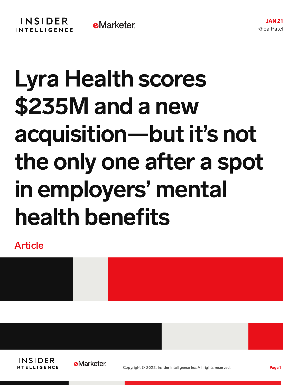## Lyra Health scores \$235M and a new acquisition—but it's not the only one after a spot in employers' mental health benefits

Article



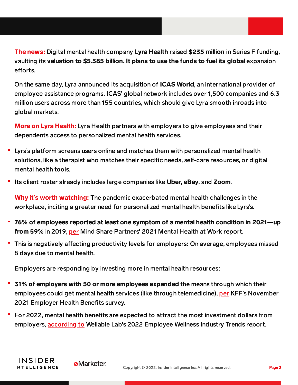The news: Digital mental health company Lyra Health raised \$235 million in Series F funding, vaulting its valuation to \$5.585 billion. It plans to use the funds to fuel its global expansion efforts.

On the same day, Lyra announced its acquisition of ICAS World, an international provider of employee assistance programs. ICAS' global network includes over 1,500 companies and 6.3 million users across more than 155 countries, which should give Lyra smooth inroads into global markets.

More on Lyra Health: Lyra Health partners with employers to give employees and their dependents access to personalized mental health services.

- Lyra's platform screens users online and matches them with personalized mental health solutions, like a therapist who matches their specific needs, self-care resources, or digital mental health tools.
- Its client roster already includes large companies like Uber, eBay, and Zoom.

Why it**'**s worth watching: The pandemic exacerbated mental health challenges in the workplace, inciting a greater need for personalized mental health benefits like Lyra's.

- 76% of employees reported at least one symptom of a mental health condition in 2021—up from 59% in 2019, [per](https://www.mindsharepartners.org/mentalhealthatworkreport-2021) Mind Share Partners' 2021 Mental Health at Work report.
- This is negatively affecting productivity levels for employers: On average, employees missed 8 days due to mental health.

Employers are responding by investing more in mental health resources:

**e**Marketer

INSIDER

**INTELLIGENCE** 

- 31% of employers with 50 or more employees expanded the means through which their employees could get mental health services (like through telemedicine), [per](https://www.kff.org/report-section/ehbs-2021-section-1-cost-of-health-insurance/) KFF's November 2021 Employer Health Benefits survey.
- For 2022, mental health benefits are expected to attract the most investment dollars from employers, [according](https://www.wellablelabs.com/research/employee-wellness-industry-trends-reports/2022) to Wellable Lab's 2022 Employee Wellness Industry Trends report.